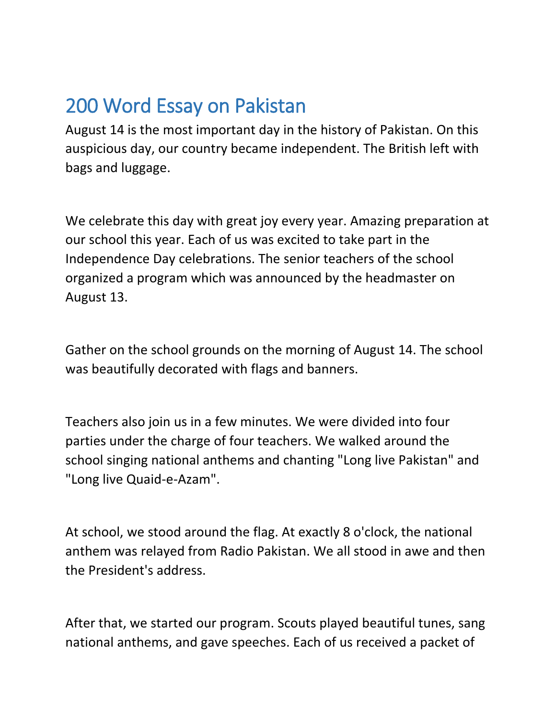## 200 Word Essay on Pakistan

August 14 is the most important day in the history of Pakistan. On this auspicious day, our country became independent. The British left with bags and luggage.

We celebrate this day with great joy every year. Amazing preparation at our school this year. Each of us was excited to take part in the Independence Day celebrations. The senior teachers of the school organized a program which was announced by the headmaster on August 13.

Gather on the school grounds on the morning of August 14. The school was beautifully decorated with flags and banners.

Teachers also join us in a few minutes. We were divided into four parties under the charge of four teachers. We walked around the school singing national anthems and chanting "Long live Pakistan" and "Long live Quaid-e-Azam".

At school, we stood around the flag. At exactly 8 o'clock, the national anthem was relayed from Radio Pakistan. We all stood in awe and then the President's address.

After that, we started our program. Scouts played beautiful tunes, sang national anthems, and gave speeches. Each of us received a packet of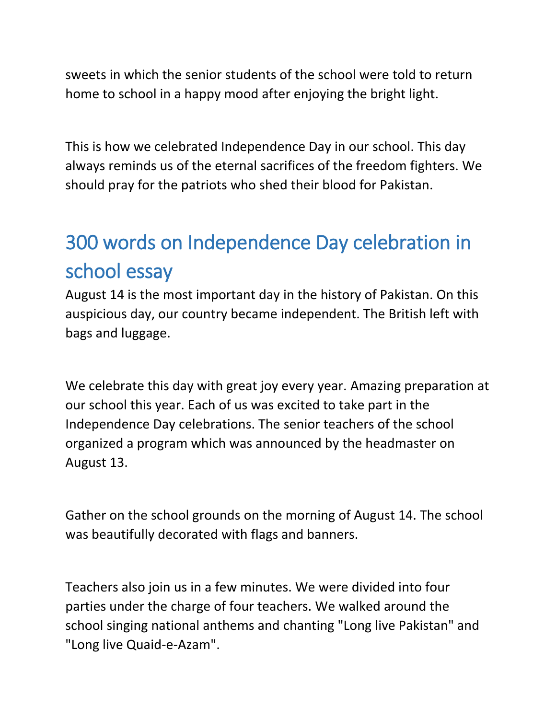sweets in which the senior students of the school were told to return home to school in a happy mood after enjoying the bright light.

This is how we celebrated Independence Day in our school. This day always reminds us of the eternal sacrifices of the freedom fighters. We should pray for the patriots who shed their blood for Pakistan.

## 300 words on Independence Day celebration in school essay

August 14 is the most important day in the history of Pakistan. On this auspicious day, our country became independent. The British left with bags and luggage.

We celebrate this day with great joy every year. Amazing preparation at our school this year. Each of us was excited to take part in the Independence Day celebrations. The senior teachers of the school organized a program which was announced by the headmaster on August 13.

Gather on the school grounds on the morning of August 14. The school was beautifully decorated with flags and banners.

Teachers also join us in a few minutes. We were divided into four parties under the charge of four teachers. We walked around the school singing national anthems and chanting "Long live Pakistan" and "Long live Quaid-e-Azam".